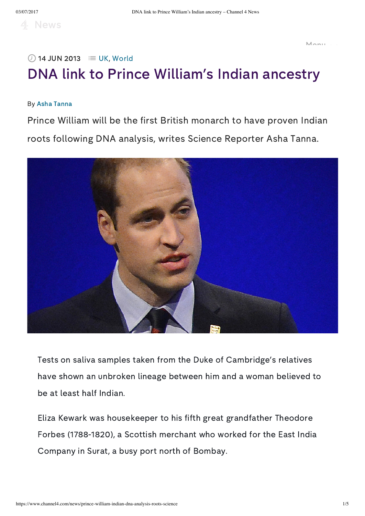# DNA link to Prince William's Indian ancestry  $\oslash$  14 JUN 2013  $\equiv$  [UK](https://www.channel4.com/news/uk), [World](https://www.channel4.com/news/world)

#### By Asha [Tanna](https://www.channel4.com/news/by/asha-tanna)

Prince William will be the first British monarch to have proven Indian roots following DNA analysis, writes Science Reporter Asha Tanna.



Tests on saliva samples taken from the Duke of Cambridge's relatives have shown an unbroken lineage between him and a woman believed to be at least half Indian.

Eliza Kewark was housekeeper to his fifth great grandfather Theodore Forbes (1788-1820), a Scottish merchant who worked for the East India Company in Surat, a busy port north of Bombay.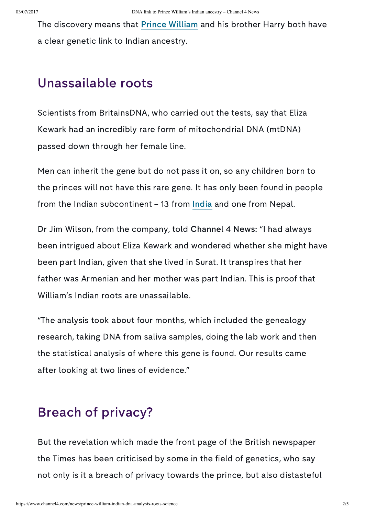The discovery means that Prince [William](http://www.channel4.com/news/prince-william) and his brother Harry both have a clear genetic link to Indian ancestry.

## Unassailable roots

Scientists from BritainsDNA, who carried out the tests, say that Eliza Kewark had an incredibly rare form of mitochondrial DNA (mtDNA) passed down through her female line.

Men can inherit the gene but do not pass it on, so any children born to the princes will not have this rare gene. It has only been found in people from the Indian subcontinent – 13 from [India](http://www.channel4.com/news/india) and one from Nepal.

Dr Jim Wilson, from the company, told Channel 4 News: "I had always been intrigued about Eliza Kewark and wondered whether she might have been part Indian, given that she lived in Surat. It transpires that her father was Armenian and her mother was part Indian. This is proof that William's Indian roots are unassailable.

"The analysis took about four months, which included the genealogy research, taking DNA from saliva samples, doing the lab work and then the statistical analysis of where this gene is found. Our results came after looking at two lines of evidence."

## Breach of privacy?

But the revelation which made the front page of the British newspaper the Times has been criticised by some in the field of genetics, who say not only is it a breach of privacy towards the prince, but also distasteful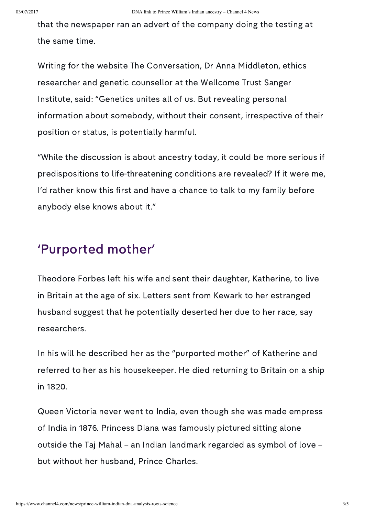that the newspaper ran an advert of the company doing the testing at the same time.

Writing for the website The Conversation, Dr Anna Middleton, ethics researcher and genetic counsellor at the Wellcome Trust Sanger Institute, said: "Genetics unites all of us. But revealing personal information about somebody, without their consent, irrespective of their position or status, is potentially harmful.

"While the discussion is about ancestry today, it could be more serious if predispositions to life-threatening conditions are revealed? If it were me, I'd rather know this first and have a chance to talk to my family before anybody else knows about it."

#### 'Purported mother'

Theodore Forbes left his wife and sent their daughter, Katherine, to live in Britain at the age of six. Letters sent from Kewark to her estranged husband suggest that he potentially deserted her due to her race, say researchers.

In his will he described her as the "purported mother" of Katherine and referred to her as his housekeeper. He died returning to Britain on a ship in 1820.

Queen Victoria never went to India, even though she was made empress of India in 1876. Princess Diana was famously pictured sitting alone outside the Taj Mahal – an Indian landmark regarded as symbol of love – but without her husband, Prince Charles.